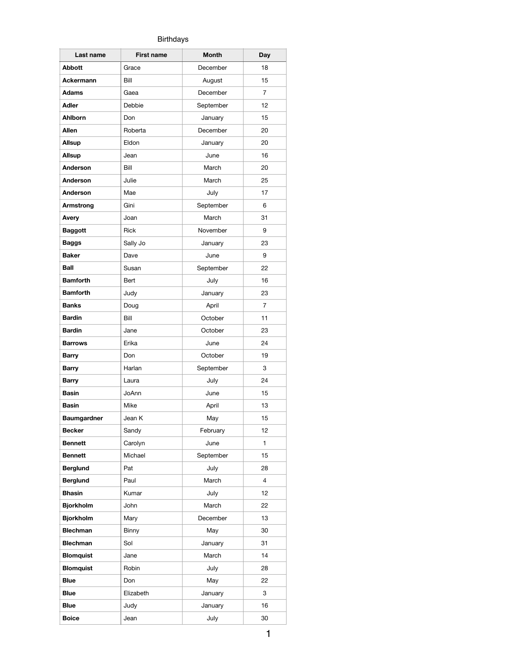## Birthdays

| Last name          | <b>First name</b> | <b>Month</b> | Day |
|--------------------|-------------------|--------------|-----|
| Abbott             | Grace             | December     | 18  |
| Ackermann          | Bill              | August       | 15  |
| <b>Adams</b>       | Gaea              | December     | 7   |
| <b>Adler</b>       | Debbie            | September    | 12  |
| Ahlborn            | Don               | January      | 15  |
| <b>Allen</b>       | Roberta           | December     | 20  |
| Allsup             | Eldon             | January      | 20  |
| Allsup             | Jean              | June         | 16  |
| Anderson           | Bill              | March        | 20  |
| Anderson           | Julie             | March        | 25  |
| Anderson           | Mae               | July         | 17  |
| Armstrong          | Gini              | September    | 6   |
| Avery              | Joan              | March        | 31  |
| <b>Baggott</b>     | Rick              | November     | 9   |
| Baggs              | Sally Jo          | January      | 23  |
| <b>Baker</b>       | Dave              | June         | 9   |
| <b>Ball</b>        | Susan             | September    | 22  |
| <b>Bamforth</b>    | Bert              | July         | 16  |
| <b>Bamforth</b>    | Judy              | January      | 23  |
| <b>Banks</b>       | Doug              | April        | 7   |
| <b>Bardin</b>      | Bill              | October      | 11  |
| <b>Bardin</b>      | Jane              | October      | 23  |
| <b>Barrows</b>     | Erika             | June         | 24  |
| Barry              | Don               | October      | 19  |
| <b>Barry</b>       | Harlan            | September    | 3   |
| <b>Barry</b>       | Laura             | July         | 24  |
| <b>Basin</b>       | JoAnn             | June         | 15  |
| <b>Basin</b>       | Mike              | April        | 13  |
| <b>Baumgardner</b> | Jean K            | May          | 15  |
| Becker             | Sandy             | February     | 12  |
| <b>Bennett</b>     | Carolyn           | June         | 1   |
| <b>Bennett</b>     | Michael           | September    | 15  |
| <b>Berglund</b>    | Pat               | July         | 28  |
| <b>Berglund</b>    | Paul              | March        | 4   |
| <b>Bhasin</b>      | Kumar             | July         | 12  |
| <b>Bjorkholm</b>   | John              | March        | 22  |
| <b>Bjorkholm</b>   | Mary              | December     | 13  |
| <b>Blechman</b>    | Binny             | May          | 30  |
| <b>Blechman</b>    | Sol               | January      | 31  |
| <b>Blomquist</b>   | Jane              | March        | 14  |
| <b>Blomquist</b>   | Robin             | July         | 28  |
| <b>Blue</b>        | Don               | May          | 22  |
| <b>Blue</b>        | Elizabeth         | January      | 3   |
| <b>Blue</b>        | Judy              | January      | 16  |
| <b>Boice</b>       | Jean              | July         | 30  |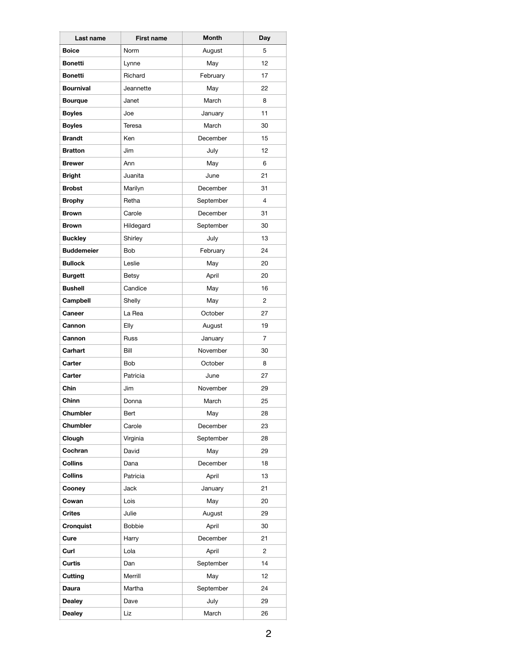| Last name         | <b>First name</b> | Month     | Day |
|-------------------|-------------------|-----------|-----|
| <b>Boice</b>      | Norm              | August    | 5   |
| <b>Bonetti</b>    | Lynne             | May       | 12  |
| <b>Bonetti</b>    | Richard           | February  | 17  |
| <b>Bournival</b>  | Jeannette         | May       | 22  |
| <b>Bourque</b>    | Janet             | March     | 8   |
| <b>Boyles</b>     | Joe               | January   | 11  |
| <b>Boyles</b>     | Teresa            | March     | 30  |
| <b>Brandt</b>     | Ken               | December  | 15  |
| <b>Bratton</b>    | Jim               | July      | 12  |
| <b>Brewer</b>     | Ann               | May       | 6   |
| <b>Bright</b>     | Juanita           | June      | 21  |
| <b>Brobst</b>     | Marilyn           | December  | 31  |
| <b>Brophy</b>     | Retha             | September | 4   |
| <b>Brown</b>      | Carole            | December  | 31  |
| <b>Brown</b>      | Hildegard         | September | 30  |
| <b>Buckley</b>    | Shirley           | July      | 13  |
| <b>Buddemeier</b> | Bob               | February  | 24  |
| <b>Bullock</b>    | Leslie            | May       | 20  |
| <b>Burgett</b>    | Betsy             | April     | 20  |
| <b>Bushell</b>    | Candice           | May       | 16  |
| Campbell          | Shelly            | May       | 2   |
| <b>Caneer</b>     | La Rea            | October   | 27  |
| Cannon            | Elly              | August    | 19  |
| Cannon            | Russ              | January   | 7   |
| Carhart           | Bill              | November  | 30  |
| Carter            | <b>Bob</b>        | October   | 8   |
| Carter            | Patricia          | June      | 27  |
| Chin              | Jim               | November  | 29  |
| Chinn             | Donna             | March     | 25  |
| Chumbler          | Bert              | May       | 28  |
| Chumbler          | Carole            | December  | 23  |
| Clough            | Virginia          | September | 28  |
| Cochran           | David             | May       | 29  |
| Collins           | Dana              | December  | 18  |
| Collins           | Patricia          | April     | 13  |
| Cooney            | Jack              | January   | 21  |
| Cowan             | Lois              | May       | 20  |
| Crites            | Julie             | August    | 29  |
| Cronquist         | <b>Bobbie</b>     | April     | 30  |
| Cure              | Harry             | December  | 21  |
| Curl              | Lola              | April     | 2   |
| Curtis            | Dan               | September | 14  |
| Cutting           | Merrill           | May       | 12  |
| Daura             | Martha            | September | 24  |
| <b>Dealey</b>     | Dave              | July      | 29  |
| <b>Dealey</b>     | Liz               | March     | 26  |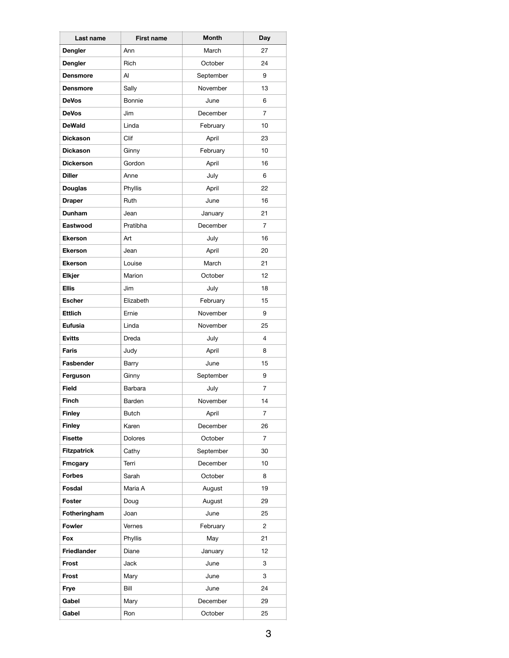| Last name          | <b>First name</b> | <b>Month</b> | Day            |
|--------------------|-------------------|--------------|----------------|
| Dengler            | Ann               | March        | 27             |
| Dengler            | Rich              | October      | 24             |
| <b>Densmore</b>    | Al                | September    | 9              |
| <b>Densmore</b>    | Sally             | November     | 13             |
| <b>DeVos</b>       | Bonnie            | June         | 6              |
| <b>DeVos</b>       | Jim               | December     | $\overline{7}$ |
| <b>DeWald</b>      | Linda             | February     | 10             |
| <b>Dickason</b>    | Clif              | April        | 23             |
| <b>Dickason</b>    | Ginny             | February     | 10             |
| <b>Dickerson</b>   | Gordon            | April        | 16             |
| <b>Diller</b>      | Anne              | July         | 6              |
| <b>Douglas</b>     | Phyllis           | April        | 22             |
| <b>Draper</b>      | Ruth              | June         | 16             |
| Dunham             | Jean              | January      | 21             |
| Eastwood           | Pratibha          | December     | 7              |
| <b>Ekerson</b>     | Art               | July         | 16             |
| <b>Ekerson</b>     | Jean              | April        | 20             |
| <b>Ekerson</b>     | Louise            | March        | 21             |
| Elkjer             | Marion            | October      | 12             |
| <b>Ellis</b>       | Jim               | July         | 18             |
| <b>Escher</b>      | Elizabeth         | February     | 15             |
| Ettlich            | Ernie             | November     | 9              |
| Eufusia            | Linda             | November     | 25             |
| <b>Evitts</b>      | Dreda             | July         | 4              |
| Faris              | Judy              | April        | 8              |
| Fasbender          | Barry             | June         | 15             |
| Ferguson           | Ginny             | September    | 9              |
| <b>Field</b>       | Barbara           | July         | $\overline{7}$ |
| Finch              | Barden            | November     | 14             |
| <b>Finley</b>      | <b>Butch</b>      | April        | 7              |
| <b>Finley</b>      | Karen             | December     | 26             |
| <b>Fisette</b>     | <b>Dolores</b>    | October      | 7              |
| <b>Fitzpatrick</b> | Cathy             | September    | 30             |
| <b>Fmcgary</b>     | Terri             | December     | 10             |
| <b>Forbes</b>      | Sarah             | October      | 8              |
| Fosdal             | Maria A           | August       | 19             |
| Foster             | Doug              | August       | 29             |
| Fotheringham       | Joan              | June         | 25             |
| <b>Fowler</b>      | Vernes            | February     | 2              |
| Fox                | Phyllis           | May          | 21             |
| Friedlander        | Diane             | January      | 12             |
| Frost              | Jack              | June         | 3              |
| Frost              | Mary              | June         | 3              |
| Frye               | Bill              | June         | 24             |
| Gabel              | Mary              | December     | 29             |
| Gabel              | Ron               | October      | 25             |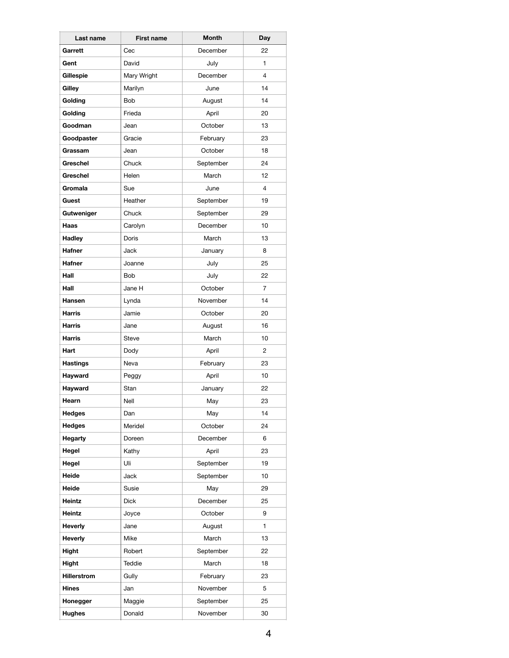| Last name       | <b>First name</b> | Month     | Day            |
|-----------------|-------------------|-----------|----------------|
| Garrett         | Cec               | December  | 22             |
| Gent            | David             | July      | $\mathbf{1}$   |
| Gillespie       | Mary Wright       | December  | $\overline{4}$ |
| Gilley          | Marilyn           | June      | 14             |
| Golding         | <b>Bob</b>        | August    | 14             |
| Golding         | Frieda            | April     | 20             |
| Goodman         | Jean              | October   | 13             |
| Goodpaster      | Gracie            | February  | 23             |
| Grassam         | Jean              | October   | 18             |
| Greschel        | Chuck             | September | 24             |
| Greschel        | Helen             | March     | 12             |
| Gromala         | Sue               | June      | 4              |
| Guest           | Heather           | September | 19             |
| Gutweniger      | Chuck             | September | 29             |
| Haas            | Carolyn           | December  | 10             |
| Hadley          | Doris             | March     | 13             |
| <b>Hafner</b>   | Jack              | January   | 8              |
| <b>Hafner</b>   | Joanne            | July      | 25             |
| Hall            | <b>Bob</b>        | July      | 22             |
| Hall            | Jane H            | October   | $\overline{7}$ |
| <b>Hansen</b>   | Lynda             | November  | 14             |
| <b>Harris</b>   | Jamie             | October   | 20             |
| <b>Harris</b>   | Jane              | August    | 16             |
| Harris          | Steve             | March     | 10             |
| Hart            | Dody              | April     | 2              |
| <b>Hastings</b> | Neva              | February  | 23             |
| Hayward         | Peggy             | April     | 10             |
| Hayward         | Stan              | January   | 22             |
| Hearn           | Nell              | May       | 23             |
| <b>Hedges</b>   | Dan               | May       | 14             |
| <b>Hedges</b>   | Meridel           | October   | 24             |
| <b>Hegarty</b>  | Doreen            | December  | 6              |
| Hegel           | Kathy             | April     | 23             |
| Hegel           | Uli               | September | 19             |
| Heide           | Jack              | September | 10             |
| Heide           | Susie             | May       | 29             |
| Heintz          | Dick              | December  | 25             |
| Heintz          | Joyce             | October   | 9              |
| Heverly         | Jane              | August    | 1              |
| Heverly         | Mike              | March     | 13             |
| Hight           | Robert            | September | 22             |
| Hight           | Teddie            | March     | 18             |
| Hillerstrom     | Gully             | February  | 23             |
| <b>Hines</b>    | Jan               | November  | 5              |
| Honegger        | Maggie            | September | 25             |
| <b>Hughes</b>   | Donald            | November  | 30             |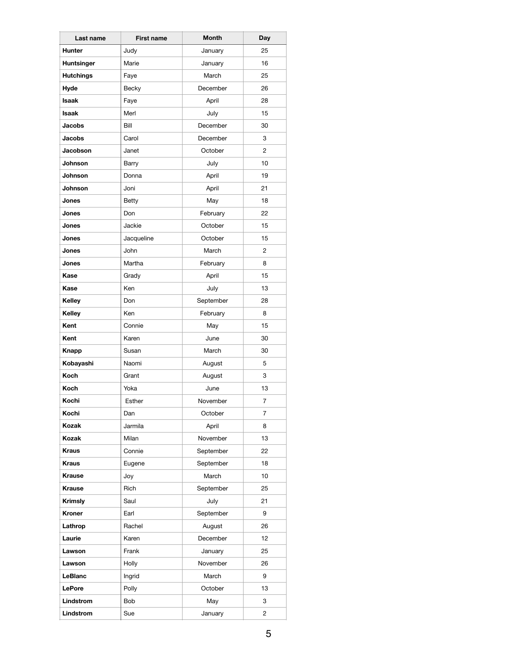| Last name         | <b>First name</b> | Month     | Day |
|-------------------|-------------------|-----------|-----|
| <b>Hunter</b>     | Judy              | January   | 25  |
| <b>Huntsinger</b> | Marie             | January   | 16  |
| <b>Hutchings</b>  | Faye              | March     | 25  |
| Hyde              | Becky             | December  | 26  |
| <b>Isaak</b>      | Faye              | April     | 28  |
| <b>Isaak</b>      | Merl              | July      | 15  |
| <b>Jacobs</b>     | Bill              | December  | 30  |
| <b>Jacobs</b>     | Carol             | December  | 3   |
| Jacobson          | Janet             | October   | 2   |
| Johnson           | Barry             | July      | 10  |
| Johnson           | Donna             | April     | 19  |
| Johnson           | Joni              | April     | 21  |
| Jones             | Betty             | May       | 18  |
| Jones             | Don               | February  | 22  |
| Jones             | Jackie            | October   | 15  |
| Jones             | Jacqueline        | October   | 15  |
| Jones             | John              | March     | 2   |
| Jones             | Martha            | February  | 8   |
| Kase              | Grady             | April     | 15  |
| Kase              | Ken               | July      | 13  |
| Kelley            | Don               | September | 28  |
| Kelley            | Ken               | February  | 8   |
| Kent              | Connie            | May       | 15  |
| Kent              | Karen             | June      | 30  |
| Knapp             | Susan             | March     | 30  |
| Kobayashi         | Naomi             | August    | 5   |
| <b>Koch</b>       | Grant             | August    | 3   |
| Koch              | Yoka              | June      | 13  |
| Kochi             | Esther            | November  | 7   |
| Kochi             | Dan               | October   | 7   |
| Kozak             | Jarmila           | April     | 8   |
| Kozak             | Milan             | November  | 13  |
| Kraus             | Connie            | September | 22  |
| Kraus             | Eugene            | September | 18  |
| <b>Krause</b>     | Joy               | March     | 10  |
| <b>Krause</b>     | Rich              | September | 25  |
| Krimsly           | Saul              | July      | 21  |
| Kroner            | Earl              | September | 9   |
| Lathrop           | Rachel            | August    | 26  |
| Laurie            | Karen             | December  | 12  |
| Lawson            | Frank             | January   | 25  |
| Lawson            | Holly             | November  | 26  |
| LeBlanc           | Ingrid            | March     | 9   |
| <b>LePore</b>     | Polly             | October   | 13  |
| Lindstrom         | Bob               | May       | 3   |
| Lindstrom         | Sue               | January   | 2   |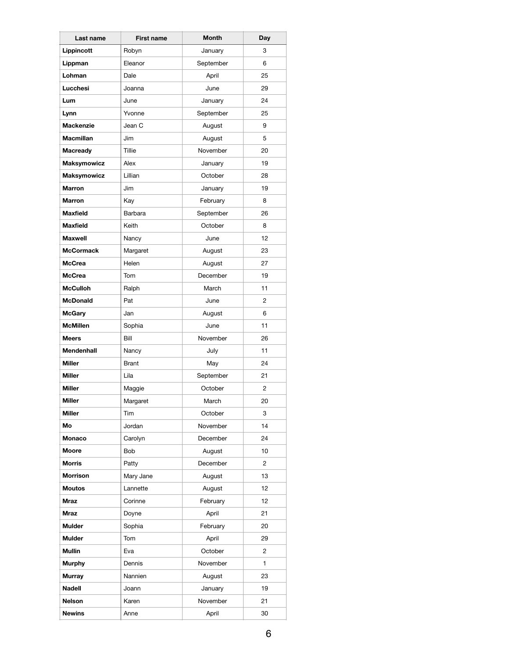| Last name          | <b>First name</b> | Month     | Day            |
|--------------------|-------------------|-----------|----------------|
| Lippincott         | Robyn             | January   | 3              |
| Lippman            | Eleanor           | September | 6              |
| Lohman             | Dale              | April     | 25             |
| Lucchesi           | Joanna            | June      | 29             |
| Lum                | June              | January   | 24             |
| Lynn               | Yvonne            | September | 25             |
| <b>Mackenzie</b>   | Jean C            | August    | 9              |
| <b>Macmillan</b>   | Jim               | August    | 5              |
| <b>Macready</b>    | Tillie            | November  | 20             |
| <b>Maksymowicz</b> | Alex              | January   | 19             |
| <b>Maksymowicz</b> | Lillian           | October   | 28             |
| <b>Marron</b>      | Jim               | January   | 19             |
| <b>Marron</b>      | Kay               | February  | 8              |
| <b>Maxfield</b>    | Barbara           | September | 26             |
| <b>Maxfield</b>    | Keith             | October   | 8              |
| <b>Maxwell</b>     | Nancy             | June      | 12             |
| <b>McCormack</b>   | Margaret          | August    | 23             |
| <b>McCrea</b>      | Helen             | August    | 27             |
| <b>McCrea</b>      | Tom               | December  | 19             |
| <b>McCulloh</b>    | Ralph             | March     | 11             |
| <b>McDonald</b>    | Pat               | June      | 2              |
| <b>McGary</b>      | Jan               | August    | 6              |
| <b>McMillen</b>    | Sophia            | June      | 11             |
| <b>Meers</b>       | Bill              | November  | 26             |
| <b>Mendenhall</b>  | Nancy             | July      | 11             |
| <b>Miller</b>      | <b>Brant</b>      | May       | 24             |
| <b>Miller</b>      | Lila              | September | 21             |
| Miller             | Maggie            | October   | $\overline{2}$ |
| Miller             | Margaret          | March     | 20             |
| Miller             | Tim               | October   | 3              |
| Mo                 | Jordan            | November  | 14             |
| Monaco             | Carolyn           | December  | 24             |
| Moore              | Bob               | August    | 10             |
| <b>Morris</b>      | Patty             | December  | 2              |
| <b>Morrison</b>    | Mary Jane         | August    | 13             |
| <b>Moutos</b>      | Lannette          | August    | 12             |
| <b>Mraz</b>        | Corinne           | February  | 12             |
| <b>Mraz</b>        | Doyne             | April     | 21             |
| Mulder             | Sophia            | February  | 20             |
| Mulder             | Tom               | April     | 29             |
| Mullin             | Eva               | October   | 2              |
| <b>Murphy</b>      | Dennis            | November  | 1              |
| <b>Murray</b>      | Nannien           | August    | 23             |
| Nadell             | Joann             | January   | 19             |
| Nelson             | Karen             | November  | 21             |
| <b>Newins</b>      | Anne              | April     | 30             |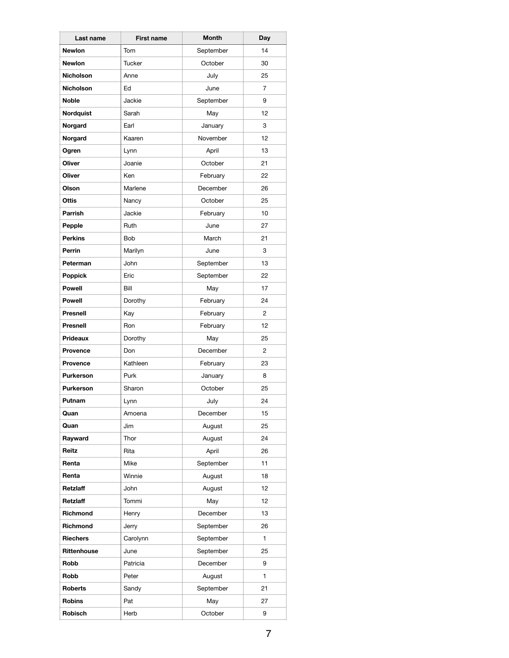| Last name        | <b>First name</b> | Month     | Day            |
|------------------|-------------------|-----------|----------------|
| <b>Newlon</b>    | Tom               | September | 14             |
| <b>Newlon</b>    | Tucker            | October   | 30             |
| <b>Nicholson</b> | Anne              | July      | 25             |
| <b>Nicholson</b> | Ed                | June      | $\overline{7}$ |
| Noble            | Jackie            | September | 9              |
| Nordquist        | Sarah             | May       | 12             |
| Norgard          | Earl              | January   | 3              |
| Norgard          | Kaaren            | November  | 12             |
| Ogren            | Lynn              | April     | 13             |
| Oliver           | Joanie            | October   | 21             |
| Oliver           | Ken               | February  | 22             |
| Olson            | Marlene           | December  | 26             |
| Ottis            | Nancy             | October   | 25             |
| <b>Parrish</b>   | Jackie            | February  | 10             |
| Pepple           | Ruth              | June      | 27             |
| <b>Perkins</b>   | Bob               | March     | 21             |
| Perrin           | Marilyn           | June      | 3              |
| Peterman         | John              | September | 13             |
| Poppick          | Eric              | September | 22             |
| <b>Powell</b>    | Bill              | May       | 17             |
| <b>Powell</b>    | Dorothy           | February  | 24             |
| <b>Presnell</b>  | Kay               | February  | $\overline{2}$ |
| <b>Presnell</b>  | Ron               | February  | 12             |
| <b>Prideaux</b>  | Dorothy           | May       | 25             |
| <b>Provence</b>  | Don               | December  | 2              |
| <b>Provence</b>  | Kathleen          | February  | 23             |
| <b>Purkerson</b> | Purk              | January   | 8              |
| <b>Purkerson</b> | Sharon            | October   | 25             |
| Putnam           | Lynn              | July      | 24             |
| Quan             | Amoena            | December  | 15             |
| Quan             | Jim               | August    | 25             |
| Rayward          | Thor              | August    | 24             |
| Reitz            | Rita              | April     | 26             |
| Renta            | Mike              | September | 11             |
| Renta            | Winnie            | August    | 18             |
| Retzlaff         | John              | August    | 12             |
| Retzlaff         | Tommi             | May       | 12             |
| Richmond         | Henry             | December  | 13             |
| Richmond         | Jerry             | September | 26             |
| <b>Riechers</b>  | Carolynn          | September | $\mathbf{1}$   |
| Rittenhouse      | June              | September | 25             |
| Robb             | Patricia          | December  | 9              |
| Robb             | Peter             | August    | 1              |
| <b>Roberts</b>   | Sandy             | September | 21             |
| Robins           | Pat               | May       | 27             |
| Robisch          | Herb              | October   | 9              |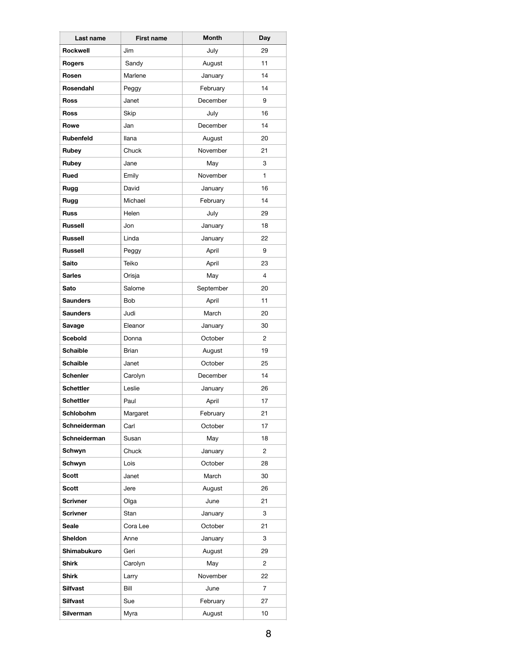| Last name        | <b>First name</b> | <b>Month</b> | Day            |
|------------------|-------------------|--------------|----------------|
| Rockwell         | Jim               | July         | 29             |
| Rogers           | Sandy             | August       | 11             |
| Rosen            | Marlene           | January      | 14             |
| Rosendahl        | Peggy             | February     | 14             |
| <b>Ross</b>      | Janet             | December     | 9              |
| Ross             | Skip              | July         | 16             |
| Rowe             | Jan               | December     | 14             |
| Rubenfeld        | <b>Ilana</b>      | August       | 20             |
| Rubey            | Chuck             | November     | 21             |
| Rubey            | Jane              | May          | 3              |
| Rued             | Emily             | November     | 1              |
| Rugg             | David             | January      | 16             |
| Rugg             | Michael           | February     | 14             |
| <b>Russ</b>      | Helen             | July         | 29             |
| <b>Russell</b>   | Jon               | January      | 18             |
| <b>Russell</b>   | Linda             | January      | 22             |
| <b>Russell</b>   | Peggy             | April        | 9              |
| <b>Saito</b>     | Teiko             | April        | 23             |
| <b>Sarles</b>    | Orisja            | May          | 4              |
| Sato             | Salome            | September    | 20             |
| <b>Saunders</b>  | Bob               | April        | 11             |
| <b>Saunders</b>  | Judi              | March        | 20             |
| Savage           | Eleanor           | January      | 30             |
| <b>Scebold</b>   | Donna             | October      | 2              |
| <b>Schaible</b>  | Brian             | August       | 19             |
| <b>Schaible</b>  | Janet             | October      | 25             |
| <b>Schenler</b>  | Carolyn           | December     | 14             |
| <b>Schettler</b> | Leslie            | January      | 26             |
| <b>Schettler</b> | Paul              | April        | 17             |
| Schlobohm        | Margaret          | February     | 21             |
| Schneiderman     | Carl              | October      | 17             |
| Schneiderman     | Susan             | May          | 18             |
| Schwyn           | Chuck             | January      | 2              |
| Schwyn           | Lois              | October      | 28             |
| Scott            | Janet             | March        | 30             |
| Scott            | Jere              | August       | 26             |
| <b>Scrivner</b>  | Olga              | June         | 21             |
| <b>Scrivner</b>  | Stan              | January      | 3              |
| Seale            | Cora Lee          | October      | 21             |
| Sheldon          | Anne              | January      | 3              |
| Shimabukuro      | Geri              | August       | 29             |
| Shirk            | Carolyn           | May          | 2              |
| Shirk            | Larry             | November     | 22             |
| Silfvast         | Bill              | June         | $\overline{7}$ |
| Silfvast         | Sue               | February     | 27             |
| Silverman        | Myra              | August       | 10             |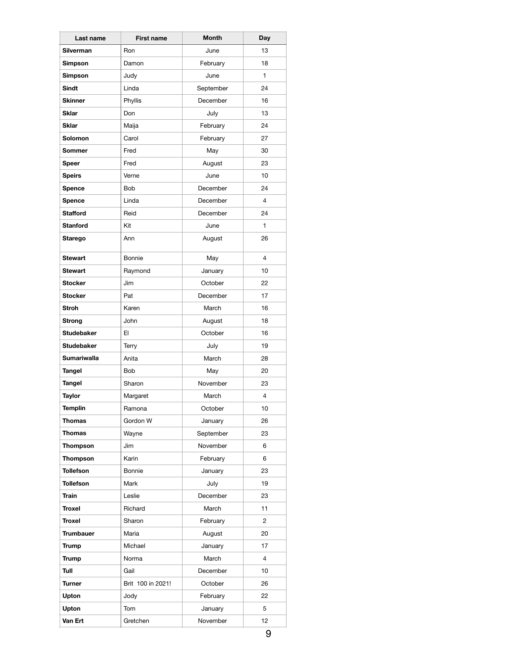| Last name          | <b>First name</b> | <b>Month</b> | Day            |
|--------------------|-------------------|--------------|----------------|
| <b>Silverman</b>   | <b>Ron</b>        | June         | 13             |
| Simpson            | Damon             | February     | 18             |
| <b>Simpson</b>     | Judy              | June         | 1              |
| Sindt              | Linda             | September    | 24             |
| <b>Skinner</b>     | Phyllis           | December     | 16             |
| <b>Sklar</b>       | Don               | July         | 13             |
| <b>Sklar</b>       | Maija             | February     | 24             |
| Solomon            | Carol             | February     | 27             |
| Sommer             | Fred              | May          | 30             |
| Speer              | Fred              | August       | 23             |
| <b>Speirs</b>      | Verne             | June         | 10             |
| Spence             | <b>Bob</b>        | December     | 24             |
| Spence             | Linda             | December     | 4              |
| <b>Stafford</b>    | Reid              | December     | 24             |
| <b>Stanford</b>    | Kit               | June         | 1              |
| Starego            | Ann               | August       | 26             |
| <b>Stewart</b>     | Bonnie            | May          | $\overline{4}$ |
| <b>Stewart</b>     | Raymond           | January      | 10             |
| <b>Stocker</b>     | Jim               | October      | 22             |
| <b>Stocker</b>     | Pat               | December     | 17             |
| <b>Stroh</b>       | Karen             | March        | 16             |
| Strong             | John              | August       | 18             |
| <b>Studebaker</b>  | EI                | October      | 16             |
| <b>Studebaker</b>  | Terry             | July         | 19             |
| <b>Sumariwalla</b> | Anita             | March        | 28             |
| Tangel             | Bob               | May          | 20             |
| Tangel             | Sharon            | November     | 23             |
| Taylor             | Margaret          | March        | $\overline{4}$ |
| <b>Templin</b>     | Ramona            | October      | 10             |
| Thomas             | Gordon W          | January      | 26             |
| Thomas             | Wayne             | September    | 23             |
| Thompson           | Jim               | November     | 6              |
| <b>Thompson</b>    | Karin             | February     | 6              |
| <b>Tollefson</b>   | Bonnie            | January      | 23             |
| <b>Tollefson</b>   | Mark              | July         | 19             |
| Train              | Leslie            | December     | 23             |
| <b>Troxel</b>      | Richard           | March        | 11             |
| Troxel             | Sharon            | February     | 2              |
| <b>Trumbauer</b>   | Maria             | August       | 20             |
| <b>Trump</b>       | Michael           | January      | 17             |
| <b>Trump</b>       | Norma             | March        | 4              |
| Tull               | Gail              | December     | 10             |
| <b>Turner</b>      | Brit 100 in 2021! | October      | 26             |
| Upton              | Jody              | February     | 22             |
| Upton              | Tom               | January      | 5              |
| Van Ert            | Gretchen          | November     | 12             |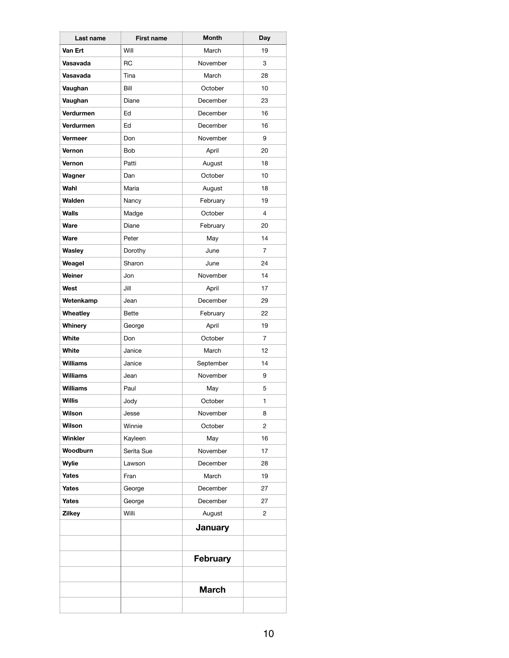| Last name        | <b>First name</b> | <b>Month</b>   | Day            |
|------------------|-------------------|----------------|----------------|
| Van Ert          | Will              | March          | 19             |
| Vasavada         | <b>RC</b>         | November       | 3              |
| Vasavada         | Tina              | March          | 28             |
| Vaughan          | Bill              | October        | 10             |
| Vaughan          | Diane             | December       | 23             |
| Verdurmen        | Ed                | December       | 16             |
| <b>Verdurmen</b> | Ed                | December       | 16             |
| Vermeer          | Don               | November       | 9              |
| Vernon           | <b>Bob</b>        | April          | 20             |
| Vernon           | Patti             | August         | 18             |
| Wagner           | Dan               | October        | 10             |
| Wahl             | Maria             | August         | 18             |
| Walden           | Nancy             | February       | 19             |
| Walls            | Madge             | October        | 4              |
| Ware             | Diane             | February       | 20             |
| Ware             | Peter             | May            | 14             |
| Wasley           | Dorothy           | June           | 7              |
| Weagel           | Sharon            | June           | 24             |
| Weiner           | Jon               | November       | 14             |
| West             | Jill              | April          | 17             |
| Wetenkamp        | Jean              | December       | 29             |
| Wheatley         | <b>Bette</b>      | February       | 22             |
| Whinery          | George            | April          | 19             |
| White            | Don               | October        | $\overline{7}$ |
| White            | Janice            | March          | 12             |
| <b>Williams</b>  | Janice            | September      | 14             |
| Williams         | Jean              | November       | 9              |
| <b>Williams</b>  | Paul              | May            | 5              |
| Willis           | Jody              | October        | 1              |
| Wilson           | Jesse             | November       | 8              |
| Wilson           | Winnie            | October        | 2              |
| Winkler          | Kayleen           | May            | 16             |
| Woodburn         | Serita Sue        | November       | 17             |
| Wylie            | Lawson            | December       | 28             |
| Yates            | Fran              | March          | 19             |
| Yates            | George            | December       | 27             |
| Yates            | George            | December       | 27             |
| <b>Zilkey</b>    | Willi             | August         | $\overline{2}$ |
|                  |                   | <b>January</b> |                |
|                  |                   | February       |                |
|                  |                   | <b>March</b>   |                |